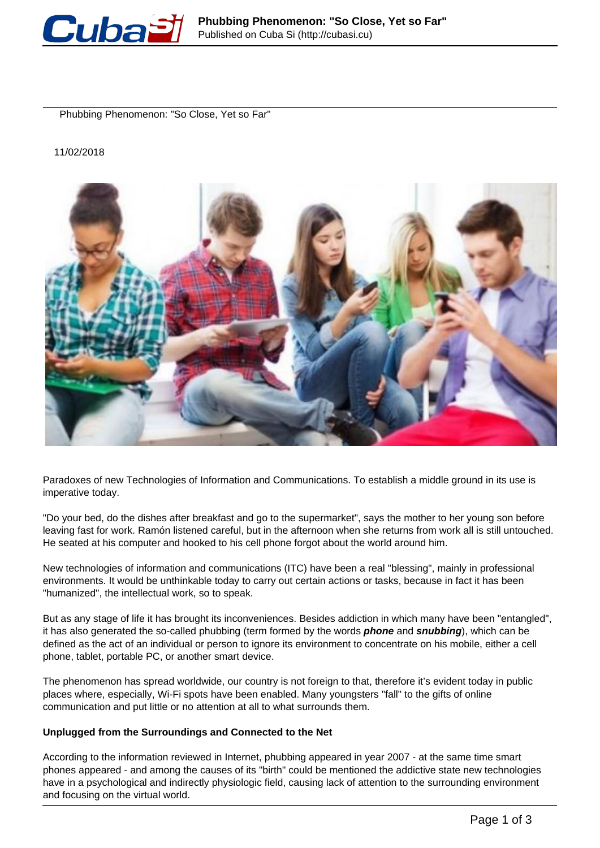

Phubbing Phenomenon: "So Close, Yet so Far"

## 11/02/2018



Paradoxes of new Technologies of Information and Communications. To establish a middle ground in its use is imperative today.

"Do your bed, do the dishes after breakfast and go to the supermarket", says the mother to her young son before leaving fast for work. Ramón listened careful, but in the afternoon when she returns from work all is still untouched. He seated at his computer and hooked to his cell phone forgot about the world around him.

New technologies of information and communications (ITC) have been a real "blessing", mainly in professional environments. It would be unthinkable today to carry out certain actions or tasks, because in fact it has been "humanized", the intellectual work, so to speak.

But as any stage of life it has brought its inconveniences. Besides addiction in which many have been "entangled", it has also generated the so-called phubbing (term formed by the words **phone** and **snubbing**), which can be defined as the act of an individual or person to ignore its environment to concentrate on his mobile, either a cell phone, tablet, portable PC, or another smart device.

The phenomenon has spread worldwide, our country is not foreign to that, therefore it's evident today in public places where, especially, Wi-Fi spots have been enabled. Many youngsters "fall" to the gifts of online communication and put little or no attention at all to what surrounds them.

## **Unplugged from the Surroundings and Connected to the Net**

According to the information reviewed in Internet, phubbing appeared in year 2007 - at the same time smart phones appeared - and among the causes of its "birth" could be mentioned the addictive state new technologies have in a psychological and indirectly physiologic field, causing lack of attention to the surrounding environment and focusing on the virtual world.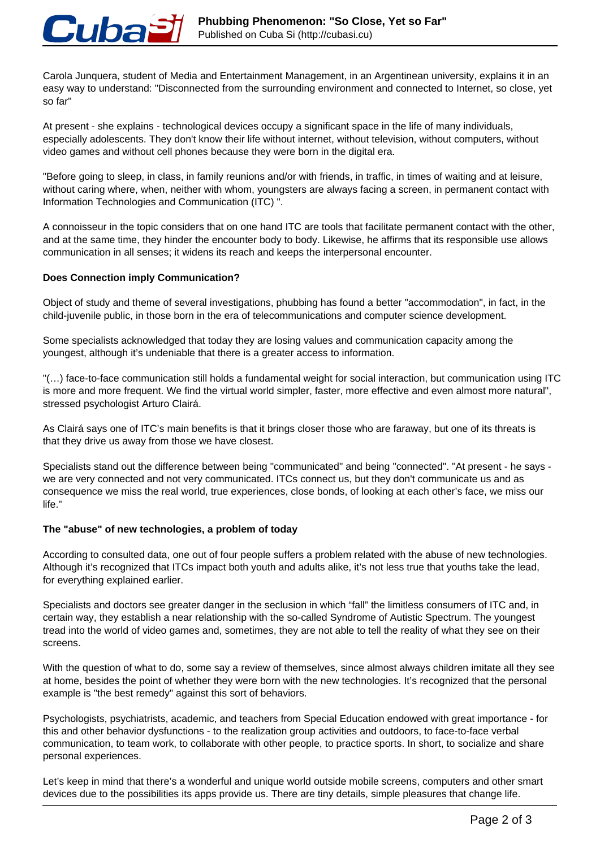

Carola Junquera, student of Media and Entertainment Management, in an Argentinean university, explains it in an easy way to understand: "Disconnected from the surrounding environment and connected to Internet, so close, yet so far"

At present - she explains - technological devices occupy a significant space in the life of many individuals, especially adolescents. They don't know their life without internet, without television, without computers, without video games and without cell phones because they were born in the digital era.

"Before going to sleep, in class, in family reunions and/or with friends, in traffic, in times of waiting and at leisure, without caring where, when, neither with whom, youngsters are always facing a screen, in permanent contact with Information Technologies and Communication (ITC) ".

A connoisseur in the topic considers that on one hand ITC are tools that facilitate permanent contact with the other, and at the same time, they hinder the encounter body to body. Likewise, he affirms that its responsible use allows communication in all senses; it widens its reach and keeps the interpersonal encounter.

## **Does Connection imply Communication?**

Object of study and theme of several investigations, phubbing has found a better "accommodation", in fact, in the child-juvenile public, in those born in the era of telecommunications and computer science development.

Some specialists acknowledged that today they are losing values and communication capacity among the youngest, although it's undeniable that there is a greater access to information.

"(…) face-to-face communication still holds a fundamental weight for social interaction, but communication using ITC is more and more frequent. We find the virtual world simpler, faster, more effective and even almost more natural", stressed psychologist Arturo Clairá.

As Clairá says one of ITC's main benefits is that it brings closer those who are faraway, but one of its threats is that they drive us away from those we have closest.

Specialists stand out the difference between being "communicated" and being "connected". "At present - he says we are very connected and not very communicated. ITCs connect us, but they don't communicate us and as consequence we miss the real world, true experiences, close bonds, of looking at each other's face, we miss our life."

## **The "abuse" of new technologies, a problem of today**

According to consulted data, one out of four people suffers a problem related with the abuse of new technologies. Although it's recognized that ITCs impact both youth and adults alike, it's not less true that youths take the lead, for everything explained earlier.

Specialists and doctors see greater danger in the seclusion in which "fall" the limitless consumers of ITC and, in certain way, they establish a near relationship with the so-called Syndrome of Autistic Spectrum. The youngest tread into the world of video games and, sometimes, they are not able to tell the reality of what they see on their screens.

With the question of what to do, some say a review of themselves, since almost always children imitate all they see at home, besides the point of whether they were born with the new technologies. It's recognized that the personal example is "the best remedy" against this sort of behaviors.

Psychologists, psychiatrists, academic, and teachers from Special Education endowed with great importance - for this and other behavior dysfunctions - to the realization group activities and outdoors, to face-to-face verbal communication, to team work, to collaborate with other people, to practice sports. In short, to socialize and share personal experiences.

Let's keep in mind that there's a wonderful and unique world outside mobile screens, computers and other smart devices due to the possibilities its apps provide us. There are tiny details, simple pleasures that change life.